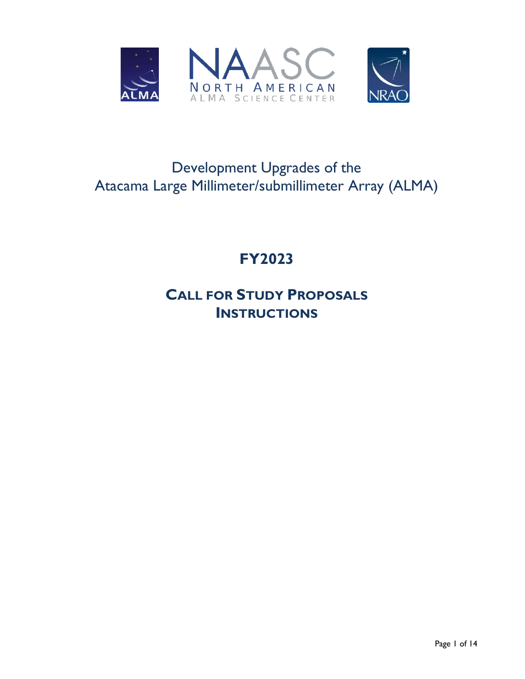

# Development Upgrades of the Atacama Large Millimeter/submillimeter Array (ALMA)

# **FY2023**

# **CALL FOR STUDY PROPOSALS INSTRUCTIONS**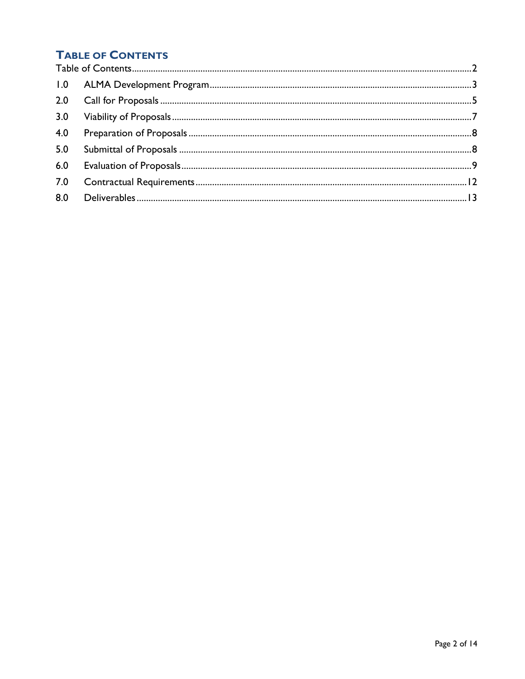# <span id="page-1-0"></span>**TABLE OF CONTENTS**

| 3.0 |  |
|-----|--|
| 4.0 |  |
| 5.0 |  |
| 6.0 |  |
|     |  |
|     |  |
|     |  |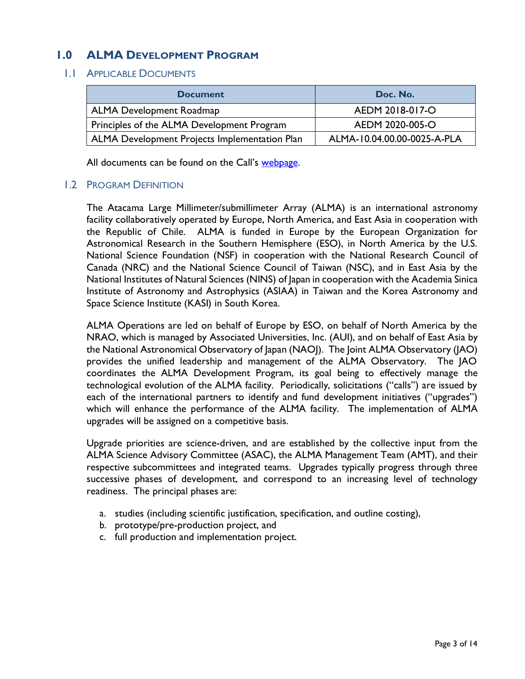## <span id="page-2-0"></span>**1.0 ALMA DEVELOPMENT PROGRAM**

### 1.1 APPLICABLE DOCUMENTS

| <b>Document</b>                               | Doc. No.                    |
|-----------------------------------------------|-----------------------------|
| <b>ALMA Development Roadmap</b>               | AEDM 2018-017-O             |
| Principles of the ALMA Development Program    | AEDM 2020-005-O             |
| ALMA Development Projects Implementation Plan | ALMA-10.04.00.00-0025-A-PLA |

All documents can be found on the Call's [webpage.](https://science.nrao.edu/facilities/alma/science_sustainability/na-alma-develpment-fy2023-call-for-study-proposals)

### 1.2 PROGRAM DEFINITION

The Atacama Large Millimeter/submillimeter Array (ALMA) is an international astronomy facility collaboratively operated by Europe, North America, and East Asia in cooperation with the Republic of Chile. ALMA is funded in Europe by the European Organization for Astronomical Research in the Southern Hemisphere (ESO), in North America by the U.S. National Science Foundation (NSF) in cooperation with the National Research Council of Canada (NRC) and the National Science Council of Taiwan (NSC), and in East Asia by the National Institutes of Natural Sciences (NINS) of Japan in cooperation with the Academia Sinica Institute of Astronomy and Astrophysics (ASIAA) in Taiwan and the Korea Astronomy and Space Science Institute (KASI) in South Korea.

ALMA Operations are led on behalf of Europe by ESO, on behalf of North America by the NRAO, which is managed by Associated Universities, Inc. (AUI), and on behalf of East Asia by the National Astronomical Observatory of Japan (NAOJ). The Joint ALMA Observatory (JAO) provides the unified leadership and management of the ALMA Observatory. The JAO coordinates the ALMA Development Program, its goal being to effectively manage the technological evolution of the ALMA facility. Periodically, solicitations ("calls") are issued by each of the international partners to identify and fund development initiatives ("upgrades") which will enhance the performance of the ALMA facility. The implementation of ALMA upgrades will be assigned on a competitive basis.

Upgrade priorities are science-driven, and are established by the collective input from the ALMA Science Advisory Committee (ASAC), the ALMA Management Team (AMT), and their respective subcommittees and integrated teams. Upgrades typically progress through three successive phases of development, and correspond to an increasing level of technology readiness. The principal phases are:

- a. studies (including scientific justification, specification, and outline costing),
- b. prototype/pre-production project, and
- c. full production and implementation project.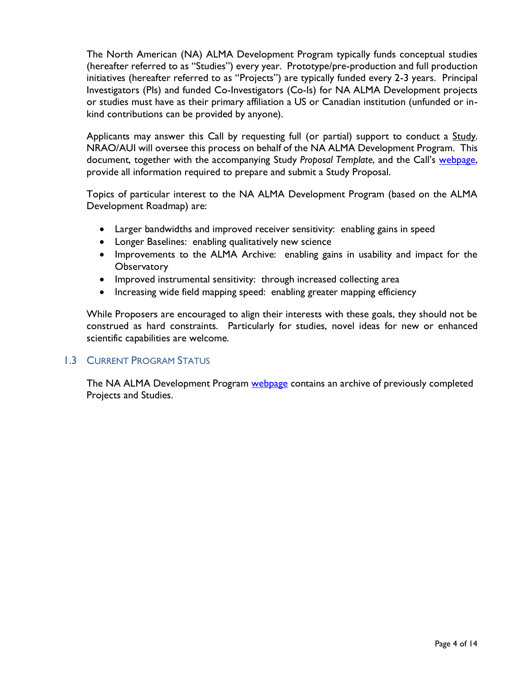The North American (NA) ALMA Development Program typically funds conceptual studies (hereafter referred to as "Studies") every year. Prototype/pre-production and full production initiatives (hereafter referred to as "Projects") are typically funded every 2-3 years. Principal Investigators (PIs) and funded Co-Investigators (Co-Is) for NA ALMA Development projects or studies must have as their primary affiliation a US or Canadian institution (unfunded or inkind contributions can be provided by anyone).

Applicants may answer this Call by requesting full (or partial) support to conduct a Study. NRAO/AUI will oversee this process on behalf of the NA ALMA Development Program. This document, together with the accompanying Study *Proposal Template*, and the Call's [webpage,](https://science.nrao.edu/facilities/alma/science_sustainability/na-alma-develpment-fy2023-call-for-study-proposals) provide all information required to prepare and submit a Study Proposal.

Topics of particular interest to the NA ALMA Development Program (based on the ALMA Development Roadmap) are:

- Larger bandwidths and improved receiver sensitivity: enabling gains in speed
- Longer Baselines: enabling qualitatively new science
- Improvements to the ALMA Archive: enabling gains in usability and impact for the **Observatory**
- Improved instrumental sensitivity: through increased collecting area
- Increasing wide field mapping speed: enabling greater mapping efficiency

While Proposers are encouraged to align their interests with these goals, they should not be construed as hard constraints. Particularly for studies, novel ideas for new or enhanced scientific capabilities are welcome.

## 1.3 CURRENT PROGRAM STATUS

The NA ALMA Development Program **webpage** contains an archive of previously completed Projects and Studies.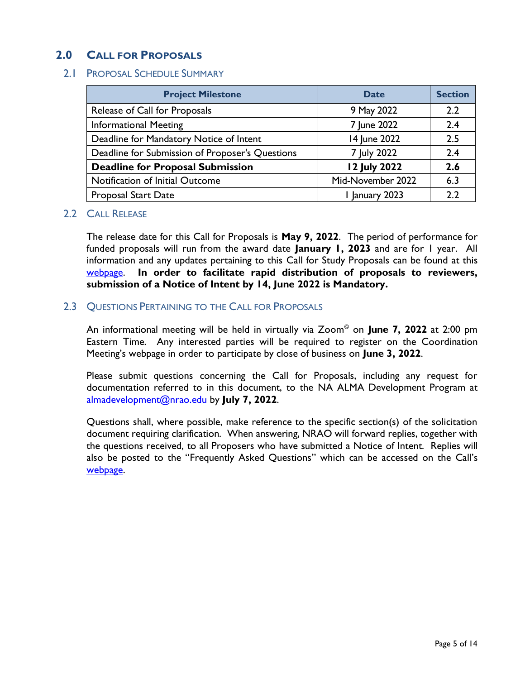## <span id="page-4-0"></span>**2.0 CALL FOR PROPOSALS**

## 2.1 PROPOSAL SCHEDULE SUMMARY

| <b>Project Milestone</b>                        | <b>Date</b>         | <b>Section</b> |
|-------------------------------------------------|---------------------|----------------|
| Release of Call for Proposals                   | 9 May 2022          | 2.2            |
| <b>Informational Meeting</b>                    | 7 June 2022         | 2.4            |
| Deadline for Mandatory Notice of Intent         | 14 June 2022        | 2.5            |
| Deadline for Submission of Proposer's Questions | 7 July 2022         | 2.4            |
| <b>Deadline for Proposal Submission</b>         | <b>12 July 2022</b> | 2.6            |
| Notification of Initial Outcome                 | Mid-November 2022   | 6.3            |
| <b>Proposal Start Date</b>                      | I January 2023      | 2.2            |

## 2.2 CALL RELEASE

The release date for this Call for Proposals is **May 9, 2022**. The period of performance for funded proposals will run from the award date **January 1, 2023** and are for 1 year. All information and any updates pertaining to this Call for Study Proposals can be found at this [webpage.](https://science.nrao.edu/facilities/alma/science_sustainability/na-alma-develpment-fy2023-call-for-study-proposals) **In order to facilitate rapid distribution of proposals to reviewers, submission of a Notice of Intent by 14, June 2022 is Mandatory.**

## 2.3 QUESTIONS PERTAINING TO THE CALL FOR PROPOSALS

An informational meeting will be held in virtually via Zoom© on **June 7, 2022** at 2:00 pm Eastern Time. Any interested parties will be required to register on the Coordination Meeting's webpage in order to participate by close of business on **June 3, 2022**.

Please submit questions concerning the Call for Proposals, including any request for documentation referred to in this document, to the NA ALMA Development Program at [almadevelopment@nrao.edu](mailto:almadevelopment@nrao.edu) by **July 7, 2022**.

Questions shall, where possible, make reference to the specific section(s) of the solicitation document requiring clarification. When answering, NRAO will forward replies, together with the questions received, to all Proposers who have submitted a Notice of Intent. Replies will also be posted to the "Frequently Asked Questions" which can be accessed on the Call's [webpage.](https://science.nrao.edu/facilities/alma/science_sustainability/na-alma-develpment-fy2023-call-for-study-proposals)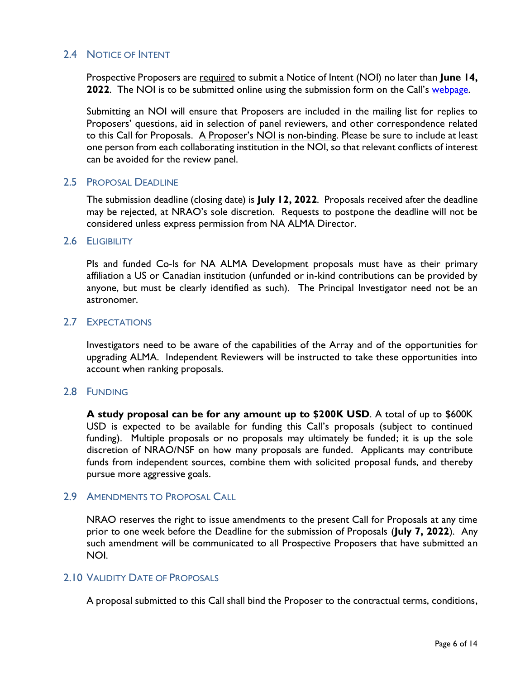## 2.4 NOTICE OF INTENT

Prospective Proposers are required to submit a Notice of Intent (NOI) no later than **June 14, 2022**. The NOI is to be submitted online using the submission form on the Call's [webpage.](https://science.nrao.edu/facilities/alma/science_sustainability/na-alma-develpment-fy2023-call-for-study-proposals)

Submitting an NOI will ensure that Proposers are included in the mailing list for replies to Proposers' questions, aid in selection of panel reviewers, and other correspondence related to this Call for Proposals. A Proposer's NOI is non-binding. Please be sure to include at least one person from each collaborating institution in the NOI, so that relevant conflicts of interest can be avoided for the review panel.

## 2.5 PROPOSAL DEADLINE

The submission deadline (closing date) is **July 12, 2022**. Proposals received after the deadline may be rejected, at NRAO's sole discretion. Requests to postpone the deadline will not be considered unless express permission from NA ALMA Director.

### 2.6 ELIGIBILITY

PIs and funded Co-Is for NA ALMA Development proposals must have as their primary affiliation a US or Canadian institution (unfunded or in-kind contributions can be provided by anyone, but must be clearly identified as such). The Principal Investigator need not be an astronomer.

### 2.7 EXPECTATIONS

Investigators need to be aware of the capabilities of the Array and of the opportunities for upgrading ALMA. Independent Reviewers will be instructed to take these opportunities into account when ranking proposals.

## 2.8 FUNDING

**A study proposal can be for any amount up to \$200K USD**. A total of up to \$600K USD is expected to be available for funding this Call's proposals (subject to continued funding). Multiple proposals or no proposals may ultimately be funded; it is up the sole discretion of NRAO/NSF on how many proposals are funded. Applicants may contribute funds from independent sources, combine them with solicited proposal funds, and thereby pursue more aggressive goals.

## 2.9 AMENDMENTS TO PROPOSAL CALL

NRAO reserves the right to issue amendments to the present Call for Proposals at any time prior to one week before the Deadline for the submission of Proposals (**July 7, 2022**). Any such amendment will be communicated to all Prospective Proposers that have submitted an NOI.

### 2.10 VALIDITY DATE OF PROPOSALS

A proposal submitted to this Call shall bind the Proposer to the contractual terms, conditions,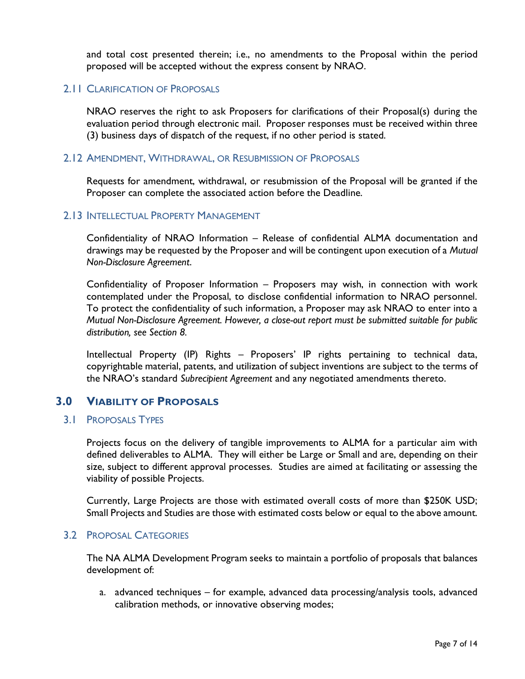and total cost presented therein; i.e., no amendments to the Proposal within the period proposed will be accepted without the express consent by NRAO.

## 2.11 CLARIFICATION OF PROPOSALS

NRAO reserves the right to ask Proposers for clarifications of their Proposal(s) during the evaluation period through electronic mail. Proposer responses must be received within three (3) business days of dispatch of the request, if no other period is stated.

### 2.12 AMENDMENT, WITHDRAWAL, OR RESUBMISSION OF PROPOSALS

Requests for amendment, withdrawal, or resubmission of the Proposal will be granted if the Proposer can complete the associated action before the Deadline.

## 2.13 INTELLECTUAL PROPERTY MANAGEMENT

Confidentiality of NRAO Information – Release of confidential ALMA documentation and drawings may be requested by the Proposer and will be contingent upon execution of a *Mutual Non-Disclosure Agreement*.

Confidentiality of Proposer Information – Proposers may wish, in connection with work contemplated under the Proposal, to disclose confidential information to NRAO personnel. To protect the confidentiality of such information, a Proposer may ask NRAO to enter into a *Mutual Non-Disclosure Agreement. However, a close-out report must be submitted suitable for public distribution, see Section 8.*

Intellectual Property (IP) Rights – Proposers' IP rights pertaining to technical data, copyrightable material, patents, and utilization of subject inventions are subject to the terms of the NRAO's standard *Subrecipient Agreement* and any negotiated amendments thereto.

## <span id="page-6-0"></span>**3.0 VIABILITY OF PROPOSALS**

### 3.1 PROPOSALS TYPES

Projects focus on the delivery of tangible improvements to ALMA for a particular aim with defined deliverables to ALMA. They will either be Large or Small and are, depending on their size, subject to different approval processes. Studies are aimed at facilitating or assessing the viability of possible Projects.

Currently, Large Projects are those with estimated overall costs of more than \$250K USD; Small Projects and Studies are those with estimated costs below or equal to the above amount.

## 3.2 PROPOSAL CATEGORIES

The NA ALMA Development Program seeks to maintain a portfolio of proposals that balances development of:

a. advanced techniques – for example, advanced data processing/analysis tools, advanced calibration methods, or innovative observing modes;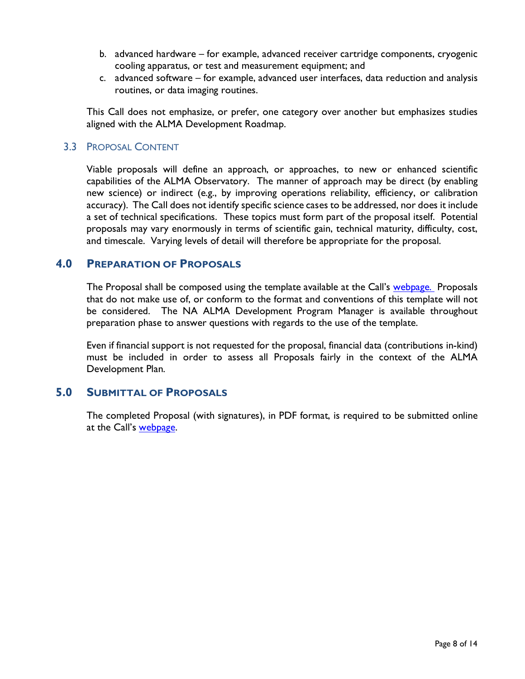- b. advanced hardware for example, advanced receiver cartridge components, cryogenic cooling apparatus, or test and measurement equipment; and
- c. advanced software for example, advanced user interfaces, data reduction and analysis routines, or data imaging routines.

This Call does not emphasize, or prefer, one category over another but emphasizes studies aligned with the ALMA Development Roadmap.

## 3.3 PROPOSAL CONTENT

Viable proposals will define an approach, or approaches, to new or enhanced scientific capabilities of the ALMA Observatory. The manner of approach may be direct (by enabling new science) or indirect (e.g., by improving operations reliability, efficiency, or calibration accuracy). The Call does not identify specific science cases to be addressed, nor does it include a set of technical specifications. These topics must form part of the proposal itself. Potential proposals may vary enormously in terms of scientific gain, technical maturity, difficulty, cost, and timescale. Varying levels of detail will therefore be appropriate for the proposal.

## <span id="page-7-0"></span>**4.0 PREPARATION OF PROPOSALS**

The Proposal shall be composed using the template available at the Call's [webpage.](https://science.nrao.edu/facilities/alma/science_sustainability/na-alma-develpment-fy2023-call-for-study-proposals) Proposals that do not make use of, or conform to the format and conventions of this template will not be considered. The NA ALMA Development Program Manager is available throughout preparation phase to answer questions with regards to the use of the template.

Even if financial support is not requested for the proposal, financial data (contributions in-kind) must be included in order to assess all Proposals fairly in the context of the ALMA Development Plan.

## <span id="page-7-1"></span>**5.0 SUBMITTAL OF PROPOSALS**

The completed Proposal (with signatures), in PDF format, is required to be submitted online at the Call's [webpage.](https://science.nrao.edu/facilities/alma/science_sustainability/na-alma-develpment-fy2023-call-for-study-proposals)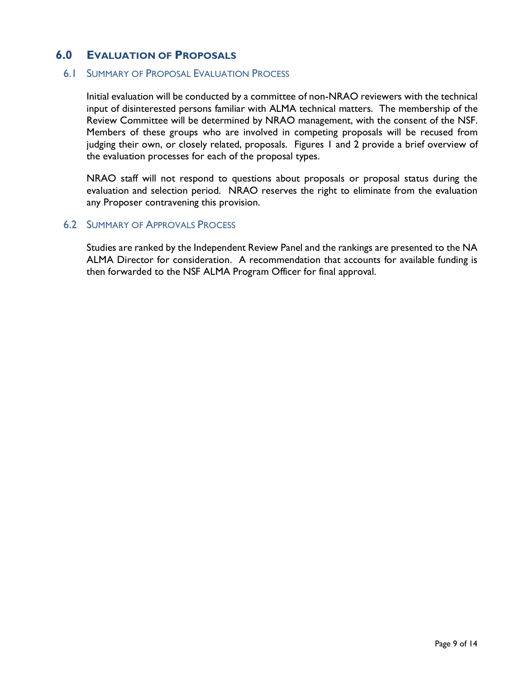## <span id="page-8-0"></span>**6.0 EVALUATION OF PROPOSALS**

### 6.1 SUMMARY OF PROPOSAL EVALUATION PROCESS

Initial evaluation will be conducted by a committee of non-NRAO reviewers with the technical input of disinterested persons familiar with ALMA technical matters. The membership of the Review Committee will be determined by NRAO management, with the consent of the NSF. Members of these groups who are involved in competing proposals will be recused from judging their own, or closely related, proposals. Figures 1 and 2 provide a brief overview of the evaluation processes for each of the proposal types.

NRAO staff will not respond to questions about proposals or proposal status during the evaluation and selection period. NRAO reserves the right to eliminate from the evaluation any Proposer contravening this provision.

#### 6.2 SUMMARY OF APPROVALS PROCESS

Studies are ranked by the Independent Review Panel and the rankings are presented to the NA ALMA Director for consideration. A recommendation that accounts for available funding is then forwarded to the NSF ALMA Program Officer for final approval.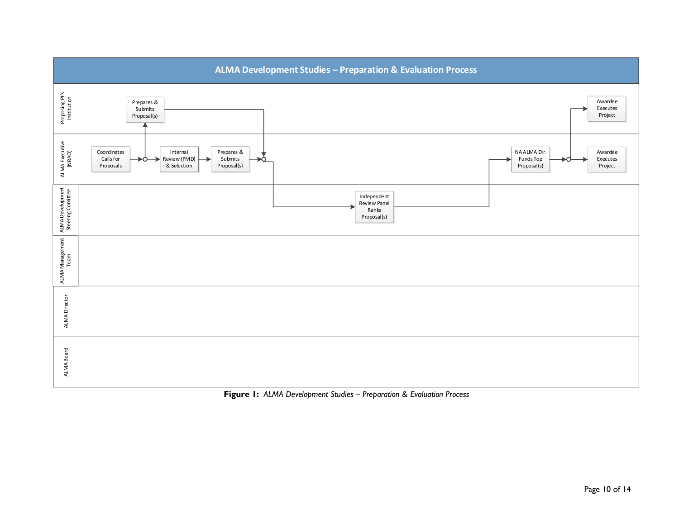

**Figure 1:** *ALMA Development Studies – Preparation & Evaluation Process*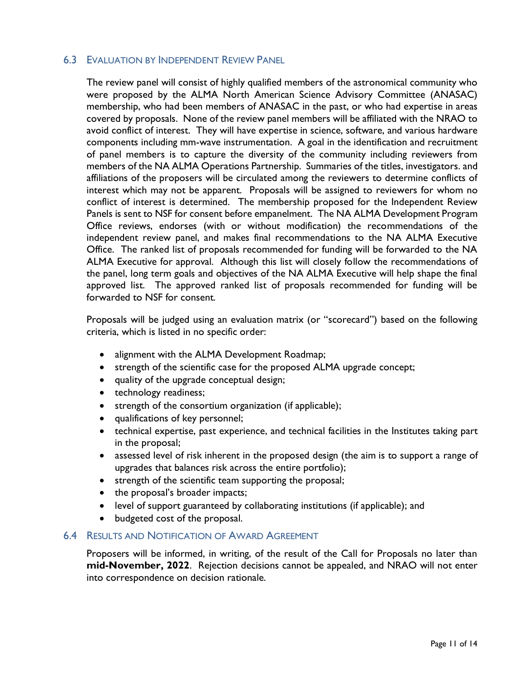## 6.3 EVALUATION BY INDEPENDENT REVIEW PANEL

The review panel will consist of highly qualified members of the astronomical community who were proposed by the ALMA North American Science Advisory Committee (ANASAC) membership, who had been members of ANASAC in the past, or who had expertise in areas covered by proposals. None of the review panel members will be affiliated with the NRAO to avoid conflict of interest. They will have expertise in science, software, and various hardware components including mm-wave instrumentation. A goal in the identification and recruitment of panel members is to capture the diversity of the community including reviewers from members of the NA ALMA Operations Partnership. Summaries of the titles, investigators. and affiliations of the proposers will be circulated among the reviewers to determine conflicts of interest which may not be apparent. Proposals will be assigned to reviewers for whom no conflict of interest is determined. The membership proposed for the Independent Review Panels is sent to NSF for consent before empanelment. The NA ALMA Development Program Office reviews, endorses (with or without modification) the recommendations of the independent review panel, and makes final recommendations to the NA ALMA Executive Office. The ranked list of proposals recommended for funding will be forwarded to the NA ALMA Executive for approval. Although this list will closely follow the recommendations of the panel, long term goals and objectives of the NA ALMA Executive will help shape the final approved list. The approved ranked list of proposals recommended for funding will be forwarded to NSF for consent.

Proposals will be judged using an evaluation matrix (or "scorecard") based on the following criteria, which is listed in no specific order:

- alignment with the ALMA Development Roadmap;
- strength of the scientific case for the proposed ALMA upgrade concept;
- quality of the upgrade conceptual design;
- technology readiness;
- strength of the consortium organization (if applicable);
- qualifications of key personnel;
- technical expertise, past experience, and technical facilities in the Institutes taking part in the proposal;
- assessed level of risk inherent in the proposed design (the aim is to support a range of upgrades that balances risk across the entire portfolio);
- strength of the scientific team supporting the proposal;
- the proposal's broader impacts;
- level of support guaranteed by collaborating institutions (if applicable); and
- budgeted cost of the proposal.

### 6.4 RESULTS AND NOTIFICATION OF AWARD AGREEMENT

Proposers will be informed, in writing, of the result of the Call for Proposals no later than **mid-November, 2022**. Rejection decisions cannot be appealed, and NRAO will not enter into correspondence on decision rationale.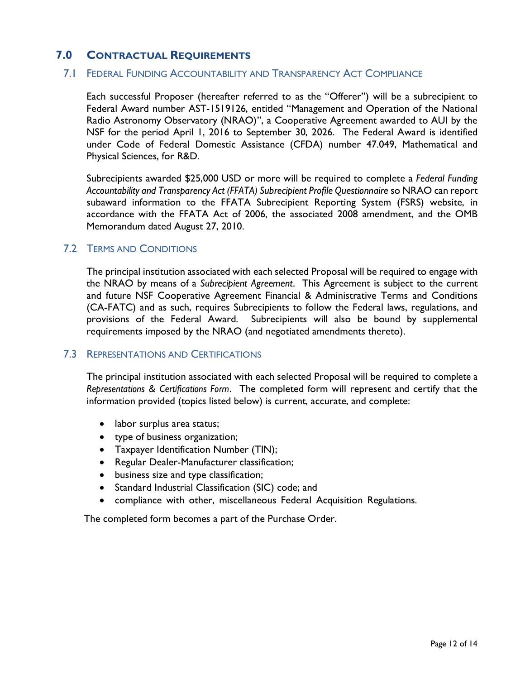## <span id="page-11-0"></span>**7.0 CONTRACTUAL REQUIREMENTS**

### 7.1 FEDERAL FUNDING ACCOUNTABILITY AND TRANSPARENCY ACT COMPLIANCE

Each successful Proposer (hereafter referred to as the "Offerer") will be a subrecipient to Federal Award number AST-1519126, entitled "Management and Operation of the National Radio Astronomy Observatory (NRAO)", a Cooperative Agreement awarded to AUI by the NSF for the period April 1, 2016 to September 30, 2026. The Federal Award is identified under Code of Federal Domestic Assistance (CFDA) number 47.049, Mathematical and Physical Sciences, for R&D.

Subrecipients awarded \$25,000 USD or more will be required to complete a *Federal Funding Accountability and Transparency Act (FFATA) Subrecipient Profile Questionnaire* so NRAO can report subaward information to the FFATA Subrecipient Reporting System (FSRS) website, in accordance with the FFATA Act of 2006, the associated 2008 amendment, and the OMB Memorandum dated August 27, 2010.

## 7.2 TERMS AND CONDITIONS

The principal institution associated with each selected Proposal will be required to engage with the NRAO by means of a *Subrecipient Agreement*. This Agreement is subject to the current and future NSF Cooperative Agreement Financial & Administrative Terms and Conditions (CA-FATC) and as such, requires Subrecipients to follow the Federal laws, regulations, and provisions of the Federal Award. Subrecipients will also be bound by supplemental requirements imposed by the NRAO (and negotiated amendments thereto).

### 7.3 REPRESENTATIONS AND CERTIFICATIONS

The principal institution associated with each selected Proposal will be required to complete a *Representations & Certifications Form*. The completed form will represent and certify that the information provided (topics listed below) is current, accurate, and complete:

- labor surplus area status;
- type of business organization;
- Taxpayer Identification Number (TIN);
- Regular Dealer-Manufacturer classification;
- business size and type classification;
- Standard Industrial Classification (SIC) code; and
- compliance with other, miscellaneous Federal Acquisition Regulations.

The completed form becomes a part of the Purchase Order.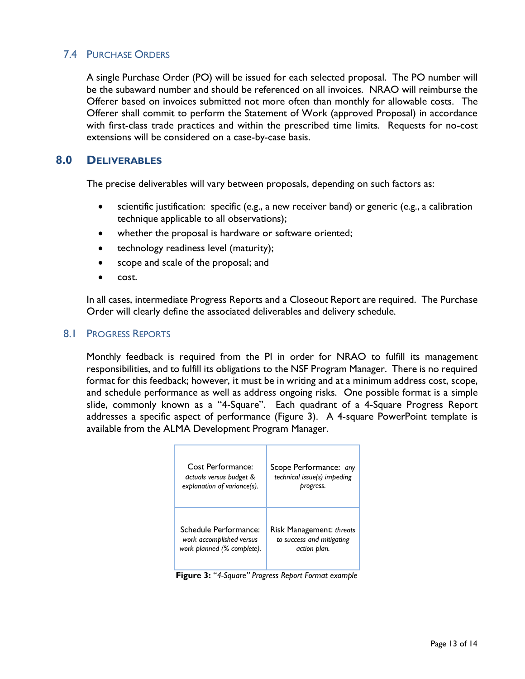## 7.4 PURCHASE ORDERS

A single Purchase Order (PO) will be issued for each selected proposal. The PO number will be the subaward number and should be referenced on all invoices. NRAO will reimburse the Offerer based on invoices submitted not more often than monthly for allowable costs. The Offerer shall commit to perform the Statement of Work (approved Proposal) in accordance with first-class trade practices and within the prescribed time limits. Requests for no-cost extensions will be considered on a case-by-case basis.

## <span id="page-12-0"></span>**8.0 DELIVERABLES**

The precise deliverables will vary between proposals, depending on such factors as:

- scientific justification: specific (e.g., a new receiver band) or generic (e.g., a calibration technique applicable to all observations);
- whether the proposal is hardware or software oriented;
- technology readiness level (maturity);
- scope and scale of the proposal; and
- cost.

In all cases, intermediate Progress Reports and a Closeout Report are required. The Purchase Order will clearly define the associated deliverables and delivery schedule.

## 8.1 PROGRESS REPORTS

Monthly feedback is required from the PI in order for NRAO to fulfill its management responsibilities, and to fulfill its obligations to the NSF Program Manager. There is no required format for this feedback; however, it must be in writing and at a minimum address cost, scope, and schedule performance as well as address ongoing risks. One possible format is a simple slide, commonly known as a "4-Square". Each quadrant of a 4-Square Progress Report addresses a specific aspect of performance (Figure 3). A 4-square PowerPoint template is available from the ALMA Development Program Manager.

| Cost Performance:           | Scope Performance: any      |
|-----------------------------|-----------------------------|
| actuals versus budget &     | technical issue(s) impeding |
| explanation of variance(s). | progress.                   |
| Schedule Performance:       | Risk Management: threats    |
| work accomplished versus    | to success and mitigating   |
| work planned (% complete).  | action plan.                |

**Figure 3:** "*4-Square" Progress Report Format example*